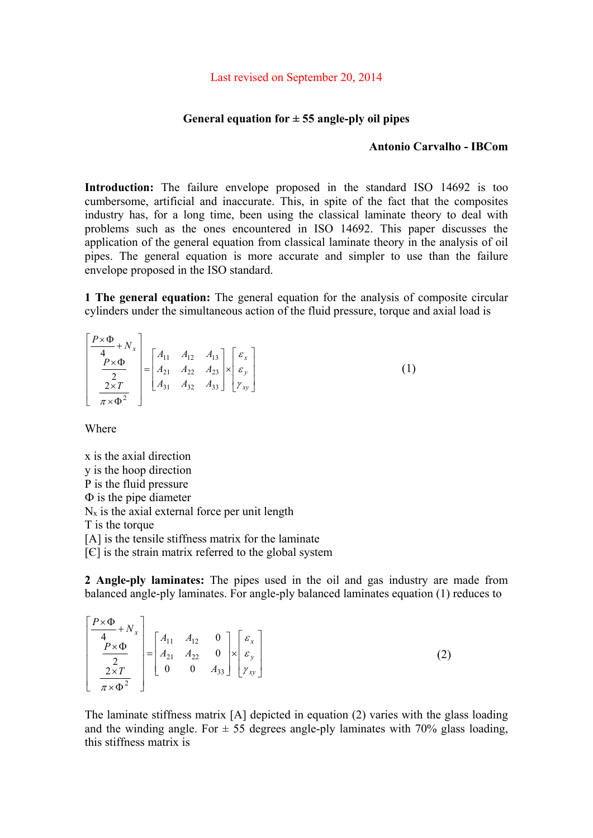## **General equation for ± 55 angle-ply oil pipes**

## **Antonio Carvalho - IBCom**

**Introduction:** The failure envelope proposed in the standard ISO 14692 is too cumbersome, artificial and inaccurate. This, in spite of the fact that the composites industry has, for a long time, been using the classical laminate theory to deal with problems such as the ones encountered in ISO 14692. This paper discusses the application of the general equation from classical laminate theory in the analysis of oil pipes. The general equation is more accurate and simpler to use than the failure envelope proposed in the ISO standard.

**1 The general equation:** The general equation for the analysis of composite circular cylinders under the simultaneous action of the fluid pressure, torque and axial load is

$$
\begin{bmatrix} P \times \Phi \\ \frac{P \times \Phi}{4} \\ \frac{P \times \Phi}{2} \\ \frac{2 \times T}{\pi \times \Phi^2} \end{bmatrix} = \begin{bmatrix} A_{11} & A_{12} & A_{13} \\ A_{21} & A_{22} & A_{23} \\ A_{31} & A_{32} & A_{33} \end{bmatrix} \times \begin{bmatrix} \varepsilon_x \\ \varepsilon_y \\ \gamma_{xy} \end{bmatrix}
$$
 (1)

Where

 $\mathcal{L}$ 

x is the axial direction y is the hoop direction P is the fluid pressure  $\Phi$  is the pipe diameter  $N_x$  is the axial external force per unit length T is the torque [A] is the tensile stiffness matrix for the laminate

 $[{\in}]$  is the strain matrix referred to the global system

**2 Angle-ply laminates:** The pipes used in the oil and gas industry are made from balanced angle-ply laminates. For angle-ply balanced laminates equation (1) reduces to

$$
\begin{bmatrix} P \times \Phi + N_x \\ \frac{P \times \Phi}{2} \\ \frac{2}{\pi \times \Phi^2} \end{bmatrix} = \begin{bmatrix} A_{11} & A_{12} & 0 \\ A_{21} & A_{22} & 0 \\ 0 & 0 & A_{33} \end{bmatrix} \times \begin{bmatrix} \varepsilon_x \\ \varepsilon_y \\ \gamma_{xy} \end{bmatrix}
$$
 (2)

The laminate stiffness matrix [A] depicted in equation (2) varies with the glass loading and the winding angle. For  $\pm$  55 degrees angle-ply laminates with 70% glass loading, this stiffness matrix is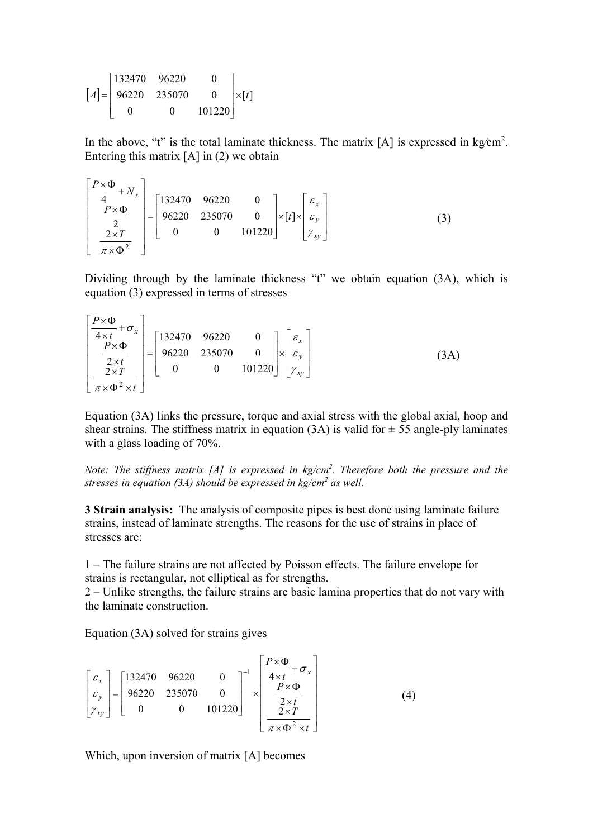$$
[A] = \begin{bmatrix} 132470 & 96220 & 0 \\ 96220 & 235070 & 0 \\ 0 & 0 & 101220 \end{bmatrix} \times [t]
$$

In the above, "t" is the total laminate thickness. The matrix  $[A]$  is expressed in kg/cm<sup>2</sup>. Entering this matrix  $[A]$  in  $(2)$  we obtain

$$
\begin{bmatrix} \frac{P \times \Phi}{4} + N_x \\ \frac{P \times \Phi}{2} \\ \frac{2 \times T}{\pi \times \Phi^2} \end{bmatrix} = \begin{bmatrix} 132470 & 96220 & 0 \\ 96220 & 235070 & 0 \\ 0 & 0 & 101220 \end{bmatrix} \times [t] \times \begin{bmatrix} \varepsilon_x \\ \varepsilon_y \\ \gamma_{xy} \end{bmatrix}
$$
(3)

Dividing through by the laminate thickness "t" we obtain equation (3A), which is equation (3) expressed in terms of stresses

$$
\begin{bmatrix} P \times \Phi \\ \hline 4 \times t \\ \hline 2 \times \Phi \\ \hline 2 \times T \\ \hline \pi \times \Phi^2 \times t \end{bmatrix} = \begin{bmatrix} 132470 & 96220 & 0 \\ 96220 & 235070 & 0 \\ 0 & 0 & 101220 \end{bmatrix} \times \begin{bmatrix} \varepsilon_x \\ \varepsilon_y \\ \gamma_{xy} \end{bmatrix} \tag{3A}
$$

Equation (3A) links the pressure, torque and axial stress with the global axial, hoop and shear strains. The stiffness matrix in equation (3A) is valid for  $\pm$  55 angle-ply laminates with a glass loading of 70%.

*Note: The stiffness matrix [A] is expressed in kg/cm<sup>2</sup>. Therefore both the pressure and the stresses in equation (3A) should be expressed in kg/cm<sup>2</sup> as well.* 

**3 Strain analysis:** The analysis of composite pipes is best done using laminate failure strains, instead of laminate strengths. The reasons for the use of strains in place of stresses are:

1 – The failure strains are not affected by Poisson effects. The failure envelope for strains is rectangular, not elliptical as for strengths.

2 – Unlike strengths, the failure strains are basic lamina properties that do not vary with the laminate construction.

Equation (3A) solved for strains gives

$$
\begin{bmatrix} \varepsilon_{x} \\ \varepsilon_{y} \\ \gamma_{xy} \end{bmatrix} = \begin{bmatrix} 132470 & 96220 & 0 \\ 96220 & 235070 & 0 \\ 0 & 0 & 101220 \end{bmatrix}^{-1} \times \begin{bmatrix} \frac{P \times \Phi}{4 \times t} + \sigma_{x} \\ \frac{P \times \Phi}{2 \times t} \\ \frac{2 \times T}{\pi \times \Phi^{2} \times t} \end{bmatrix}
$$
(4)

Which, upon inversion of matrix [A] becomes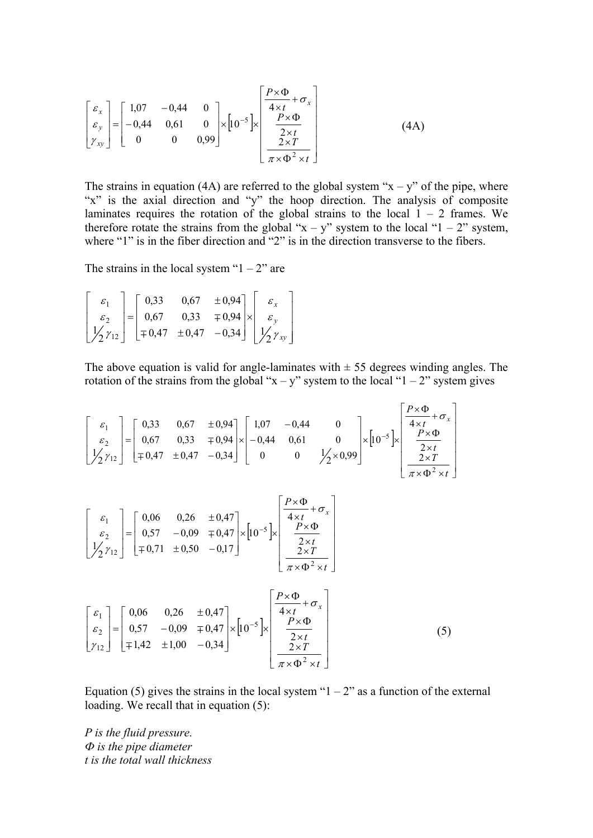$$
\begin{bmatrix} \varepsilon_x \\ \varepsilon_y \\ \gamma_{xy} \end{bmatrix} = \begin{bmatrix} 1.07 & -0.44 & 0 \\ -0.44 & 0.61 & 0 \\ 0 & 0 & 0.99 \end{bmatrix} \times \begin{bmatrix} \varepsilon_x \Phi + \sigma_x \\ \frac{4 \times t}{2 \times \Phi} \\ \frac{2 \times T}{\pi \times \Phi^2 \times t} \end{bmatrix}
$$
(4A)

The strains in equation (4A) are referred to the global system " $x - y$ " of the pipe, where "x" is the axial direction and "y" the hoop direction. The analysis of composite laminates requires the rotation of the global strains to the local  $1 - 2$  frames. We therefore rotate the strains from the global " $x - y$ " system to the local "1 – 2" system, where "1" is in the fiber direction and "2" is in the direction transverse to the fibers.

The strains in the local system " $1 - 2$ " are

$$
\begin{bmatrix} \varepsilon_1 \\ \varepsilon_2 \\ \frac{1}{2}\gamma_{12} \end{bmatrix} = \begin{bmatrix} 0,33 & 0,67 & \pm 0,94 \\ 0,67 & 0,33 & \mp 0,94 \\ \mp 0,47 & \pm 0,47 & -0,34 \end{bmatrix} \times \begin{bmatrix} \varepsilon_x \\ \varepsilon_y \\ \frac{1}{2}\gamma_{xy} \end{bmatrix}
$$

The above equation is valid for angle-laminates with  $\pm$  55 degrees winding angles. The rotation of the strains from the global " $x - y$ " system to the local "1 – 2" system gives

$$
\begin{bmatrix} \varepsilon_1 \\ \varepsilon_2 \\ 1/2 \gamma_{12} \end{bmatrix} = \begin{bmatrix} 0,33 & 0,67 & \pm 0,94 \\ 0,67 & 0,33 & \mp 0,94 \\ \mp 0,47 & \pm 0,47 & -0,34 \end{bmatrix} \times \begin{bmatrix} 1,07 & -0,44 & 0 \\ -0,44 & 0,61 & 0 \\ 0 & 0 & 1/2 \times 0,99 \end{bmatrix} \times \begin{bmatrix} p \times \Phi \\ \frac{4 \times t}{4 \times 0} + \sigma_x \\ \frac{2 \times t}{2 \times 0} \\ \frac{2 \times r}{\pi \times \Phi^2 \times t} \end{bmatrix}
$$

$$
\begin{bmatrix} \varepsilon_1 \\ \varepsilon_2 \\ 1/\sqrt{2 \gamma_{12}} \end{bmatrix} = \begin{bmatrix} 0,06 & 0,26 & \pm 0,47 \\ 0,57 & -0,09 & \mp 0,47 \\ \mp 0,71 & \pm 0,50 & -0,17 \end{bmatrix} \times \begin{bmatrix} P \times \Phi \\ \frac{4 \times t}{4 \times t} + \sigma_x \\ \frac{P \times \Phi}{2 \times t} \\ \frac{2 \times T}{\pi \times \Phi^2 \times t} \end{bmatrix}
$$

$$
\begin{bmatrix} \varepsilon_1 \\ \varepsilon_2 \\ \gamma_{12} \end{bmatrix} = \begin{bmatrix} 0,06 & 0,26 & \pm 0,47 \\ 0,57 & -0,09 & \mp 0,47 \\ \mp 1,42 & \pm 1,00 & -0,34 \end{bmatrix} \times \begin{bmatrix} p \times \Phi \\ \frac{4 \times t}{4 \times \Phi} + \sigma_x \\ \frac{P \times \Phi}{2 \times T} \\ \frac{2 \times T}{\pi \times \Phi^2 \times t} \end{bmatrix}
$$
(5)

Equation (5) gives the strains in the local system " $1 - 2$ " as a function of the external loading. We recall that in equation  $(5)$ :

*P is the fluid pressure. Ф is the pipe diameter t is the total wall thickness*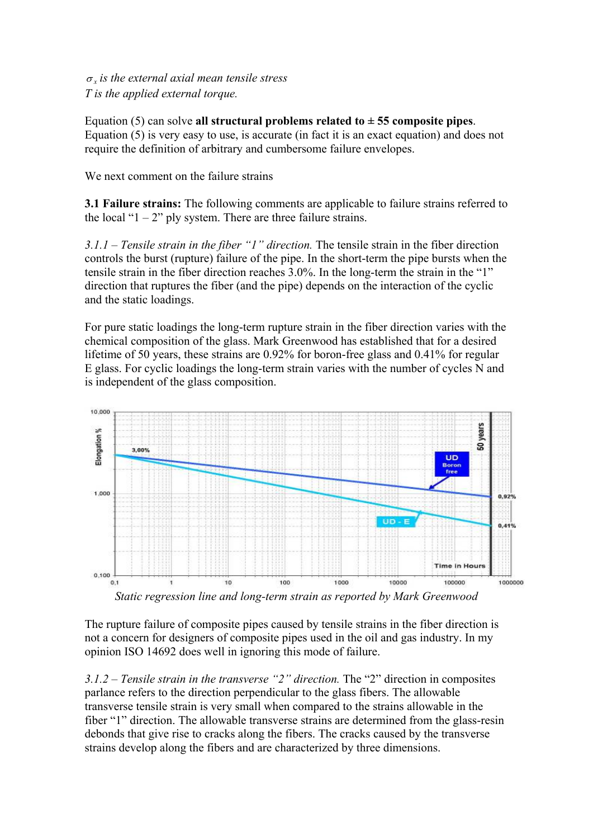$\sigma_r$  *is the external axial mean tensile stress T is the applied external torque.* 

Equation  $(5)$  can solve **all structural problems related to**  $\pm$  **55 composite pipes**. Equation (5) is very easy to use, is accurate (in fact it is an exact equation) and does not require the definition of arbitrary and cumbersome failure envelopes.

We next comment on the failure strains

**3.1 Failure strains:** The following comments are applicable to failure strains referred to the local " $1 - 2$ " ply system. There are three failure strains.

*3.1.1 – Tensile strain in the fiber "1" direction.* The tensile strain in the fiber direction controls the burst (rupture) failure of the pipe. In the short-term the pipe bursts when the tensile strain in the fiber direction reaches 3.0%. In the long-term the strain in the "1" direction that ruptures the fiber (and the pipe) depends on the interaction of the cyclic and the static loadings.

For pure static loadings the long-term rupture strain in the fiber direction varies with the chemical composition of the glass. Mark Greenwood has established that for a desired lifetime of 50 years, these strains are 0.92% for boron-free glass and 0.41% for regular E glass. For cyclic loadings the long-term strain varies with the number of cycles N and is independent of the glass composition.



*Static regression line and long-term strain as reported by Mark Greenwood* 

The rupture failure of composite pipes caused by tensile strains in the fiber direction is not a concern for designers of composite pipes used in the oil and gas industry. In my opinion ISO 14692 does well in ignoring this mode of failure.

*3.1.2 – Tensile strain in the transverse "2" direction.* The "2" direction in composites parlance refers to the direction perpendicular to the glass fibers. The allowable transverse tensile strain is very small when compared to the strains allowable in the fiber "1" direction. The allowable transverse strains are determined from the glass-resin debonds that give rise to cracks along the fibers. The cracks caused by the transverse strains develop along the fibers and are characterized by three dimensions.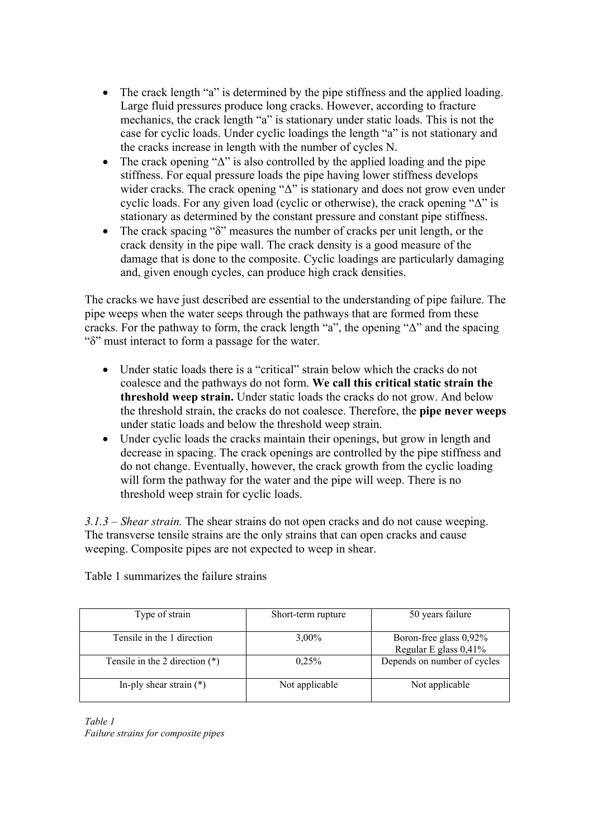- The crack length "a" is determined by the pipe stiffness and the applied loading. Large fluid pressures produce long cracks. However, according to fracture mechanics, the crack length "a" is stationary under static loads. This is not the case for cyclic loads. Under cyclic loadings the length "a" is not stationary and the cracks increase in length with the number of cycles N.
- The crack opening " $\Delta$ " is also controlled by the applied loading and the pipe stiffness. For equal pressure loads the pipe having lower stiffness develops wider cracks. The crack opening " $\Delta$ " is stationary and does not grow even under cyclic loads. For any given load (cyclic or otherwise), the crack opening "Δ" is stationary as determined by the constant pressure and constant pipe stiffness.
- The crack spacing "δ" measures the number of cracks per unit length, or the crack density in the pipe wall. The crack density is a good measure of the damage that is done to the composite. Cyclic loadings are particularly damaging and, given enough cycles, can produce high crack densities.

The cracks we have just described are essential to the understanding of pipe failure. The pipe weeps when the water seeps through the pathways that are formed from these cracks. For the pathway to form, the crack length "a", the opening "Δ" and the spacing "δ" must interact to form a passage for the water.

- Under static loads there is a "critical" strain below which the cracks do not coalesce and the pathways do not form. **We call this critical static strain the threshold weep strain.** Under static loads the cracks do not grow. And below the threshold strain, the cracks do not coalesce. Therefore, the **pipe never weeps**  under static loads and below the threshold weep strain.
- Under cyclic loads the cracks maintain their openings, but grow in length and decrease in spacing. The crack openings are controlled by the pipe stiffness and do not change. Eventually, however, the crack growth from the cyclic loading will form the pathway for the water and the pipe will weep. There is no threshold weep strain for cyclic loads.

*3.1.3 – Shear strain.* The shear strains do not open cracks and do not cause weeping. The transverse tensile strains are the only strains that can open cracks and cause weeping. Composite pipes are not expected to weep in shear.

Table 1 summarizes the failure strains

| Type of strain                   | Short-term rupture | 50 years failure                                |
|----------------------------------|--------------------|-------------------------------------------------|
| Tensile in the 1 direction       | $3.00\%$           | Boron-free glass 0,92%<br>Regular E glass 0,41% |
| Tensile in the 2 direction $(*)$ | 0.25%              | Depends on number of cycles                     |
| In-ply shear strain $(*)$        | Not applicable     | Not applicable                                  |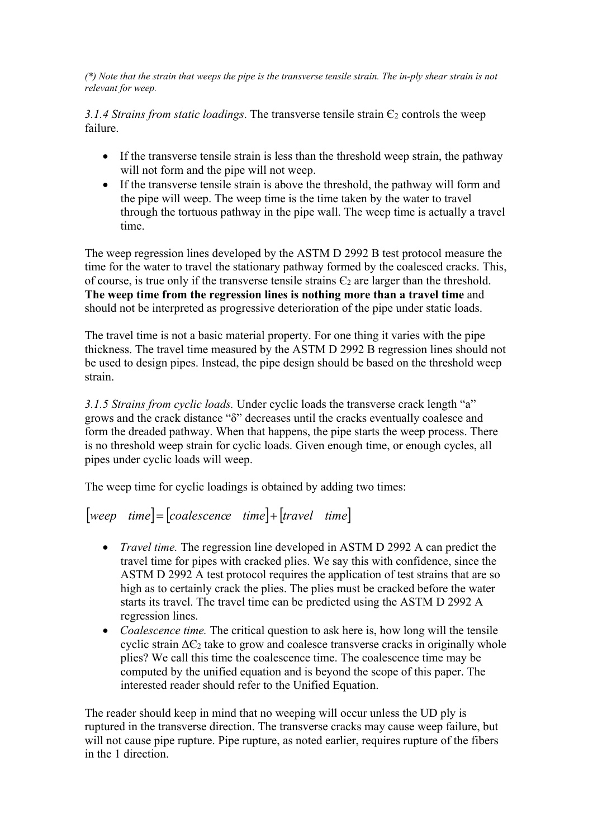*(\*) Note that the strain that weeps the pipe is the transverse tensile strain. The in-ply shear strain is not relevant for weep.* 

*3.1.4 Strains from static loadings.* The transverse tensile strain  $\epsilon_2$  controls the weep failure.

- If the transverse tensile strain is less than the threshold weep strain, the pathway will not form and the pipe will not weep.
- If the transverse tensile strain is above the threshold, the pathway will form and the pipe will weep. The weep time is the time taken by the water to travel through the tortuous pathway in the pipe wall. The weep time is actually a travel time.

The weep regression lines developed by the ASTM D 2992 B test protocol measure the time for the water to travel the stationary pathway formed by the coalesced cracks. This, of course, is true only if the transverse tensile strains  $\epsilon_2$  are larger than the threshold. **The weep time from the regression lines is nothing more than a travel time** and should not be interpreted as progressive deterioration of the pipe under static loads.

The travel time is not a basic material property. For one thing it varies with the pipe thickness. The travel time measured by the ASTM D 2992 B regression lines should not be used to design pipes. Instead, the pipe design should be based on the threshold weep strain.

*3.1.5 Strains from cyclic loads.* Under cyclic loads the transverse crack length "a" grows and the crack distance "δ" decreases until the cracks eventually coalesce and form the dreaded pathway. When that happens, the pipe starts the weep process. There is no threshold weep strain for cyclic loads. Given enough time, or enough cycles, all pipes under cyclic loads will weep.

The weep time for cyclic loadings is obtained by adding two times:

## $[weep \ time] = [coalescence \ time] + [travel \ time]$

- *Travel time.* The regression line developed in ASTM D 2992 A can predict the travel time for pipes with cracked plies. We say this with confidence, since the ASTM D 2992 A test protocol requires the application of test strains that are so high as to certainly crack the plies. The plies must be cracked before the water starts its travel. The travel time can be predicted using the ASTM D 2992 A regression lines.
- *Coalescence time.* The critical question to ask here is, how long will the tensile cyclic strain  $\Delta \epsilon_2$  take to grow and coalesce transverse cracks in originally whole plies? We call this time the coalescence time. The coalescence time may be computed by the unified equation and is beyond the scope of this paper. The interested reader should refer to the Unified Equation.

The reader should keep in mind that no weeping will occur unless the UD ply is ruptured in the transverse direction. The transverse cracks may cause weep failure, but will not cause pipe rupture. Pipe rupture, as noted earlier, requires rupture of the fibers in the 1 direction.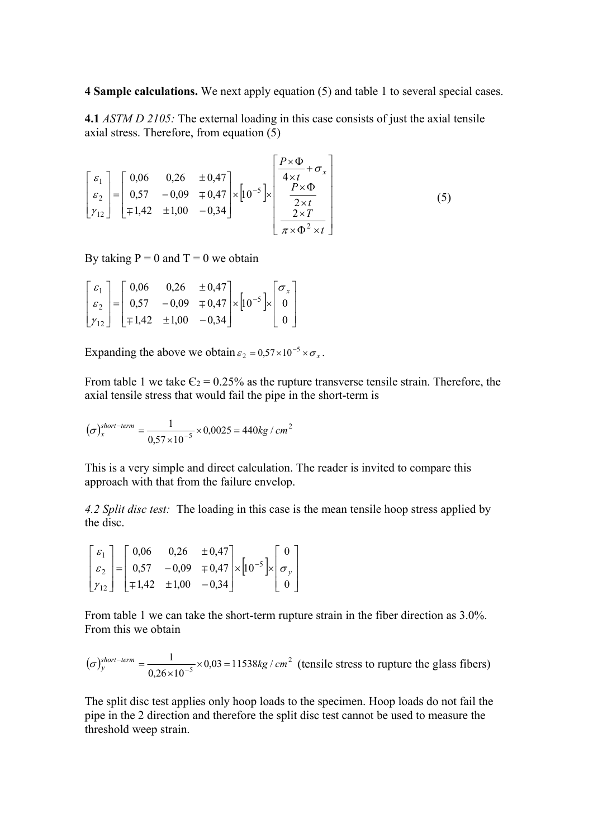**4 Sample calculations.** We next apply equation (5) and table 1 to several special cases.

**4.1** *ASTM D 2105:* The external loading in this case consists of just the axial tensile axial stress. Therefore, from equation (5)

$$
\begin{bmatrix} \varepsilon_1 \\ \varepsilon_2 \\ \gamma_{12} \end{bmatrix} = \begin{bmatrix} 0,06 & 0,26 & \pm 0,47 \\ 0,57 & -0,09 & \mp 0,47 \\ \mp 1,42 & \pm 1,00 & -0,34 \end{bmatrix} \times \begin{bmatrix} \frac{P \times \Phi}{4 \times t} + \sigma_x \\ \frac{P \times \Phi}{2 \times t} \\ \frac{2 \times T}{\pi \times \Phi^2 \times t} \end{bmatrix}
$$
(5)

By taking  $P = 0$  and  $T = 0$  we obtain

|  |  |  | $\begin{bmatrix} \varepsilon_1 \\ \varepsilon_2 \\ \gamma_{12} \end{bmatrix} = \begin{bmatrix} 0.06 & 0.26 & \pm 0.47 \\ 0.57 & -0.09 & \mp 0.47 \\ \mp 1.42 & \pm 1.00 & -0.34 \end{bmatrix} \times \begin{bmatrix} 10^{-5} \\ 0 \end{bmatrix} \times \begin{bmatrix} \sigma_x \\ 0 \\ 0 \end{bmatrix}$ | $\begin{bmatrix} 0 \\ 1 \end{bmatrix}$ |
|--|--|--|----------------------------------------------------------------------------------------------------------------------------------------------------------------------------------------------------------------------------------------------------------------------------------------------------------|----------------------------------------|

Expanding the above we obtain  $\varepsilon_2 = 0.57 \times 10^{-5} \times \sigma_x$ .

From table 1 we take  $\epsilon_2$  = 0.25% as the rupture transverse tensile strain. Therefore, the axial tensile stress that would fail the pipe in the short-term is

 $(\sigma)_x^{short-term} = \frac{1}{0.57 \times 10^{-5}} \times 0.0025 = 440 kg / cm^2$  $(\sigma)^{short-term}_{x} = \frac{1}{0.57 \times 10^{-5}} \times 0.0025 = 440 kg / cm$ 

This is a very simple and direct calculation. The reader is invited to compare this approach with that from the failure envelop.

*4.2 Split disc test:* The loading in this case is the mean tensile hoop stress applied by the disc.

$$
\begin{bmatrix} \varepsilon_1 \\ \varepsilon_2 \\ \gamma_{12} \end{bmatrix} = \begin{bmatrix} 0.06 & 0.26 & \pm 0.47 \\ 0.57 & -0.09 & \mp 0.47 \\ \mp 1.42 & \pm 1.00 & -0.34 \end{bmatrix} \times \begin{bmatrix} 10^{-5} \\ \varepsilon_2 \end{bmatrix} \times \begin{bmatrix} 0 \\ \sigma_y \\ 0 \end{bmatrix}
$$

From table 1 we can take the short-term rupture strain in the fiber direction as 3.0%. From this we obtain

$$
(\sigma)^{short-term}_{y} = \frac{1}{0.26 \times 10^{-5}} \times 0.03 = 11538 \text{kg / cm}^2 \text{ (tensile stress to rupture the glass fibers)}
$$

The split disc test applies only hoop loads to the specimen. Hoop loads do not fail the pipe in the 2 direction and therefore the split disc test cannot be used to measure the threshold weep strain.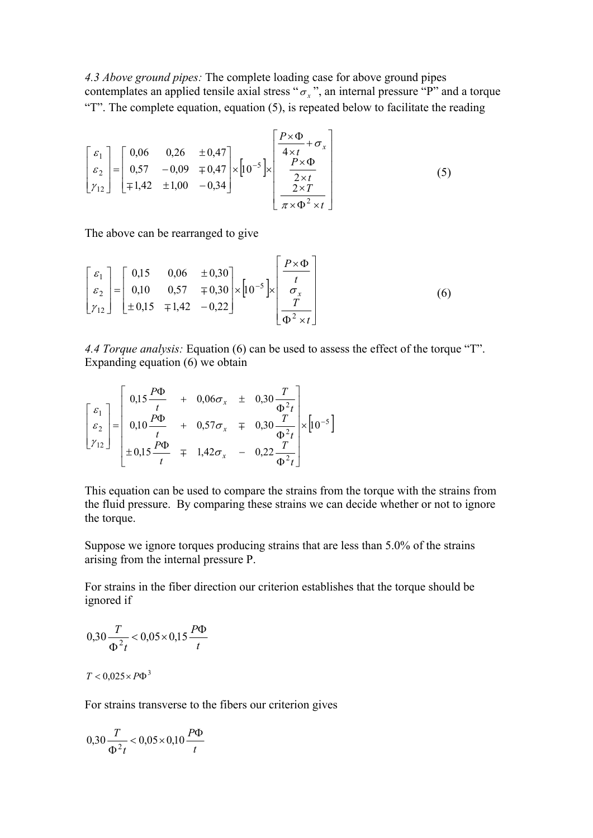*4.3 Above ground pipes:* The complete loading case for above ground pipes contemplates an applied tensile axial stress " $\sigma_x$ ", an internal pressure "P" and a torque "T". The complete equation, equation (5), is repeated below to facilitate the reading

$$
\begin{bmatrix} \varepsilon_1 \\ \varepsilon_2 \\ \gamma_{12} \end{bmatrix} = \begin{bmatrix} 0,06 & 0,26 & \pm 0,47 \\ 0,57 & -0,09 & \mp 0,47 \\ \mp 1,42 & \pm 1,00 & -0,34 \end{bmatrix} \times \begin{bmatrix} p \times \Phi \\ \frac{4 \times t}{4 \times t} + \sigma_x \\ \frac{P \times \Phi}{2 \times t} \\ \frac{2 \times r}{\pi \times \Phi^2 \times t} \end{bmatrix}
$$
(5)

The above can be rearranged to give

$$
\begin{bmatrix} \varepsilon_1 \\ \varepsilon_2 \\ \gamma_{12} \end{bmatrix} = \begin{bmatrix} 0,15 & 0,06 & \pm 0,30 \\ 0,10 & 0,57 & \mp 0,30 \\ \pm 0,15 & \mp 1,42 & -0,22 \end{bmatrix} \times \begin{bmatrix} 0.5 \\ 0.5 \end{bmatrix} \times \begin{bmatrix} \frac{P \times \Phi}{t} \\ \frac{\sigma_x}{\Phi^2 \times t} \end{bmatrix}
$$
(6)

*4.4 Torque analysis:* Equation (6) can be used to assess the effect of the torque "T". Expanding equation (6) we obtain

$$
\begin{bmatrix} \varepsilon_1 \\ \varepsilon_2 \\ r_{12} \end{bmatrix} = \begin{bmatrix} 0.15 \frac{P\Phi}{t} & + & 0.06\sigma_x & \pm & 0.30 \frac{T}{\Phi^2 t} \\ 0.10 \frac{P\Phi}{t} & + & 0.57\sigma_x & \mp & 0.30 \frac{T}{\Phi^2 t} \\ \pm 0.15 \frac{P\Phi}{t} & \mp & 1.42\sigma_x & - & 0.22 \frac{T}{\Phi^2 t} \end{bmatrix} \times [10^{-5}]
$$

This equation can be used to compare the strains from the torque with the strains from the fluid pressure. By comparing these strains we can decide whether or not to ignore the torque.

Suppose we ignore torques producing strains that are less than 5.0% of the strains arising from the internal pressure P.

For strains in the fiber direction our criterion establishes that the torque should be ignored if

$$
0,30\frac{T}{\Phi^2 t} < 0,05 \times 0,15\frac{P\Phi}{t}
$$

## $T < 0.025 \times P\Phi^{3}$

For strains transverse to the fibers our criterion gives

$$
0,30 \frac{T}{\Phi^2 t} < 0,05 \times 0,10 \frac{P\Phi}{t}
$$